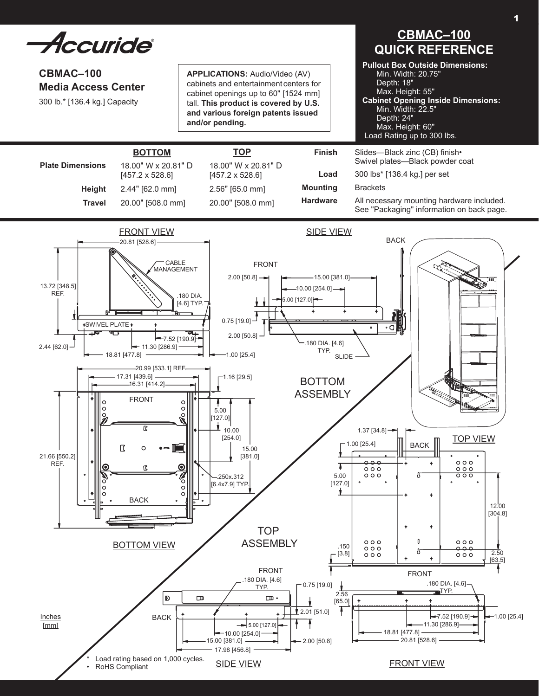Accuride®

# **CBMAC–100 Media Access Center**

300 lb.\* [136.4 kg.] Capacity

**Height Travel**

**Plate Dimensions**

18.00" W x 20.81" D [457.2 x 528.6] 2.44" [62.0 mm] 20.00" [508.0 mm]

**Bottom TOp**

**Applications:** Audio/Video (AV) cabinets and entertainment centers for cabinet openings up to 60" [1524 mm] tall. **This product is covered by U.S. and various foreign patents issued and/or pending.**

> 18.00" W x 20.81" D [457.2 x 528.6] 2.56" [65.0 mm] 20.00" [508.0 mm]

# **CBMAC–100 QUICK REFERENCE**

**Pullout Box Outside Dimensions:** Min. Width: 20.75" Depth: 18" Max. Height: 55" **Cabinet Opening Inside Dimensions:** Min. Width: 22.5" Depth: 24" Max. Height: 60" Load Rating up to 300 lbs.

Slides—Black zinc (CB) finish• Swivel plates—Black powder coat

300 lbs\* [136.4 kg.] per set

**Brackets** 

**Finish**

**Load Mounting Hardware**

All necessary mounting hardware included. See "Packaging" information on back page.

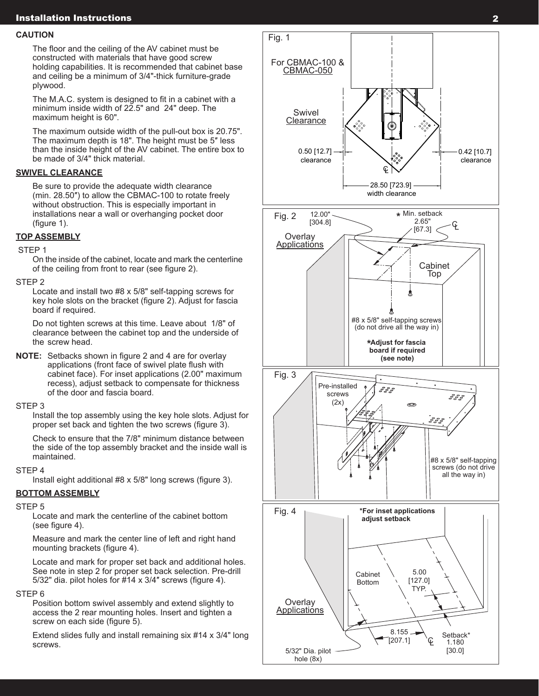# Installation Instructions

#### **CAUTION**

 The floor and the ceiling of the AV cabinet must be constructed with materials that have good screw holding capabilities. It is recommended that cabinet base and ceiling be a minimum of 3/4"-thick furniture-grade plywood.

 The M.A.C. system is designed to fit in a cabinet with a minimum inside width of 22.5" and 24" deep. The maximum height is 60".

 The maximum outside width of the pull-out box is 20.75". The maximum depth is 18". The height must be 5″ less than the inside height of the AV cabinet. The entire box to be made of 3/4" thick material.

# **Swivel Clearance**

 Be sure to provide the adequate width clearance (min. 28.50″) to allow the CBMAC-100 to rotate freely without obstruction. This is especially important in installations near a wall or overhanging pocket door (figure 1).

# **TOP ASSEMBLY**

# STEP<sub>1</sub>

 On the inside of the cabinet, locate and mark the centerline of the ceiling from front to rear (see figure 2).

#### STEP 2

 Locate and install two #8 x 5/8" self-tapping screws for key hole slots on the bracket (figure 2). Adjust for fascia board if required.

 Do not tighten screws at this time. Leave about 1/8" of clearance between the cabinet top and the underside of the screw head.

**NOTE:** Setbacks shown in figure 2 and 4 are for overlay applications (front face of swivel plate flush with cabinet face). For inset applications (2.00" maximum recess), adjust setback to compensate for thickness of the door and fascia board.

#### STEP 3

 Install the top assembly using the key hole slots. Adjust for proper set back and tighten the two screws (figure 3).

 Check to ensure that the 7/8" minimum distance between the side of the top assembly bracket and the inside wall is maintained.

# STEP 4

Install eight additional #8 x 5/8" long screws (figure 3).

# **BOTTOM ASSEMBLY**

#### STEP 5

 Locate and mark the centerline of the cabinet bottom (see figure 4).

 Measure and mark the center line of left and right hand mounting brackets (figure 4).

 Locate and mark for proper set back and additional holes. See note in step 2 for proper set back selection. Pre-drill 5/32" dia. pilot holes for #14 x 3/4″ screws (figure 4).

## STEP 6

 Position bottom swivel assembly and extend slightly to access the 2 rear mounting holes. Insert and tighten a screw on each side (figure 5).

 Extend slides fully and install remaining six #14 x 3/4" long screws.

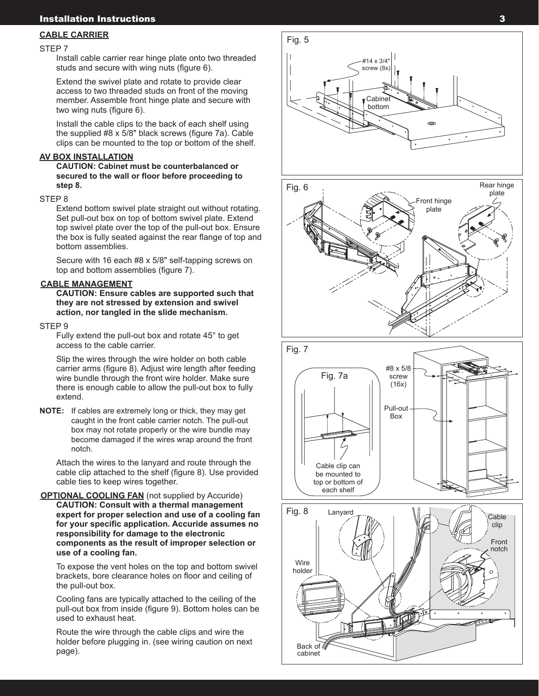# Installation Instructions

#### **CABLE CARRIER**

#### STEP 7

 Install cable carrier rear hinge plate onto two threaded studs and secure with wing nuts (figure 6).

 Extend the swivel plate and rotate to provide clear access to two threaded studs on front of the moving member. Assemble front hinge plate and secure with two wing nuts (figure 6).

 Install the cable clips to the back of each shelf using the supplied #8 x 5/8" black screws (figure 7a). Cable clips can be mounted to the top or bottom of the shelf.

#### **AV BOX INSTALLATION**

 **Caution: Cabinet must be counterbalanced or secured to the wall or floor before proceeding to step 8.**

#### STEP 8

 Extend bottom swivel plate straight out without rotating. Set pull-out box on top of bottom swivel plate. Extend top swivel plate over the top of the pull-out box. Ensure the box is fully seated against the rear flange of top and bottom assemblies.

 Secure with 16 each #8 x 5/8" self-tapping screws on top and bottom assemblies (figure 7).

### **CABLE MANAGEMENT**

**CAUTION: Ensure cables are supported such that they are not stressed by extension and swivel action, nor tangled in the slide mechanism.**

#### STEP<sub>9</sub>

 Fully extend the pull-out box and rotate 45° to get access to the cable carrier.

 Slip the wires through the wire holder on both cable carrier arms (figure 8). Adjust wire length after feeding wire bundle through the front wire holder. Make sure there is enough cable to allow the pull-out box to fully extend.

**NOTE:** If cables are extremely long or thick, they may get caught in the front cable carrier notch. The pull-out box may not rotate properly or the wire bundle may become damaged if the wires wrap around the front notch.

 Attach the wires to the lanyard and route through the cable clip attached to the shelf (figure 8). Use provided cable ties to keep wires together.

#### **OPTIONAL COOLING FAN** (not supplied by Accuride) **CAUTION: Consult with a thermal management expert for proper selection and use of a cooling fan for your specific application. Accuride assumes no responsibility for damage to the electronic components as the result of improper selection or use of a cooling fan.**

 To expose the vent holes on the top and bottom swivel brackets, bore clearance holes on floor and ceiling of the pull-out box.

 Cooling fans are typically attached to the ceiling of the pull-out box from inside (figure 9). Bottom holes can be used to exhaust heat.

Route the wire through the cable clips and wire the holder before plugging in. (see wiring caution on next page).